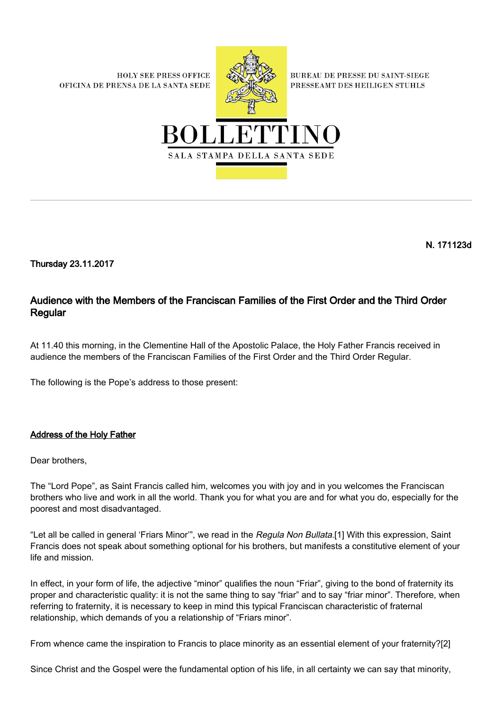**HOLY SEE PRESS OFFICE** OFICINA DE PRENSA DE LA SANTA SEDE



**BUREAU DE PRESSE DU SAINT-SIEGE** PRESSEAMT DES HEILIGEN STUHLS



N. 171123d

Thursday 23.11.2017

## Audience with the Members of the Franciscan Families of the First Order and the Third Order Regular

At 11.40 this morning, in the Clementine Hall of the Apostolic Palace, the Holy Father Francis received in audience the members of the Franciscan Families of the First Order and the Third Order Regular.

The following is the Pope's address to those present:

## Address of the Holy Father

Dear brothers,

The "Lord Pope", as Saint Francis called him, welcomes you with joy and in you welcomes the Franciscan brothers who live and work in all the world. Thank you for what you are and for what you do, especially for the poorest and most disadvantaged.

"Let all be called in general 'Friars Minor", we read in the Regula Non Bullata.[1] With this expression, Saint Francis does not speak about something optional for his brothers, but manifests a constitutive element of your life and mission.

In effect, in your form of life, the adjective "minor" qualifies the noun "Friar", giving to the bond of fraternity its proper and characteristic quality: it is not the same thing to say "friar" and to say "friar minor". Therefore, when referring to fraternity, it is necessary to keep in mind this typical Franciscan characteristic of fraternal relationship, which demands of you a relationship of "Friars minor".

From whence came the inspiration to Francis to place minority as an essential element of your fraternity?[2]

Since Christ and the Gospel were the fundamental option of his life, in all certainty we can say that minority,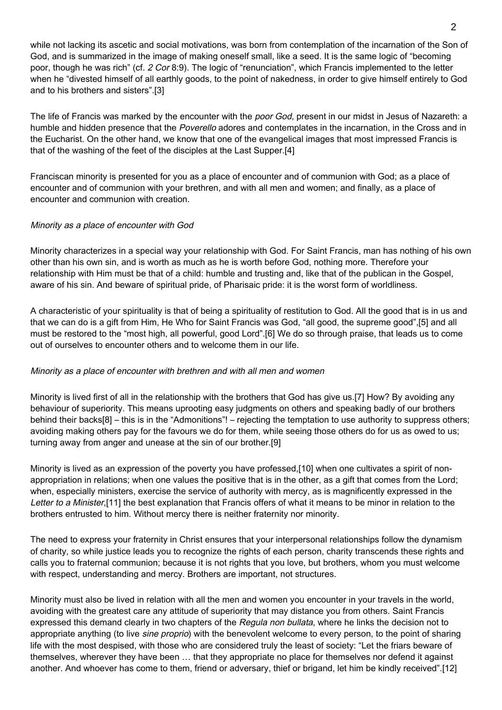while not lacking its ascetic and social motivations, was born from contemplation of the incarnation of the Son of God, and is summarized in the image of making oneself small, like a seed. It is the same logic of "becoming poor, though he was rich" (cf. 2 Cor 8:9). The logic of "renunciation", which Francis implemented to the letter when he "divested himself of all earthly goods, to the point of nakedness, in order to give himself entirely to God and to his brothers and sisters".[3]

The life of Francis was marked by the encounter with the poor God, present in our midst in Jesus of Nazareth: a humble and hidden presence that the *Poverello* adores and contemplates in the incarnation, in the Cross and in the Eucharist. On the other hand, we know that one of the evangelical images that most impressed Francis is that of the washing of the feet of the disciples at the Last Supper.[4]

Franciscan minority is presented for you as a place of encounter and of communion with God; as a place of encounter and of communion with your brethren, and with all men and women; and finally, as a place of encounter and communion with creation.

## Minority as a place of encounter with God

Minority characterizes in a special way your relationship with God. For Saint Francis, man has nothing of his own other than his own sin, and is worth as much as he is worth before God, nothing more. Therefore your relationship with Him must be that of a child: humble and trusting and, like that of the publican in the Gospel, aware of his sin. And beware of spiritual pride, of Pharisaic pride: it is the worst form of worldliness.

A characteristic of your spirituality is that of being a spirituality of restitution to God. All the good that is in us and that we can do is a gift from Him, He Who for Saint Francis was God, "all good, the supreme good",[5] and all must be restored to the "most high, all powerful, good Lord".[6] We do so through praise, that leads us to come out of ourselves to encounter others and to welcome them in our life.

## Minority as a place of encounter with brethren and with all men and women

Minority is lived first of all in the relationship with the brothers that God has give us.[7] How? By avoiding any behaviour of superiority. This means uprooting easy judgments on others and speaking badly of our brothers behind their backs[8] – this is in the "Admonitions"! – rejecting the temptation to use authority to suppress others; avoiding making others pay for the favours we do for them, while seeing those others do for us as owed to us; turning away from anger and unease at the sin of our brother.[9]

Minority is lived as an expression of the poverty you have professed,[10] when one cultivates a spirit of nonappropriation in relations; when one values the positive that is in the other, as a gift that comes from the Lord; when, especially ministers, exercise the service of authority with mercy, as is magnificently expressed in the Letter to a Minister,[11] the best explanation that Francis offers of what it means to be minor in relation to the brothers entrusted to him. Without mercy there is neither fraternity nor minority.

The need to express your fraternity in Christ ensures that your interpersonal relationships follow the dynamism of charity, so while justice leads you to recognize the rights of each person, charity transcends these rights and calls you to fraternal communion; because it is not rights that you love, but brothers, whom you must welcome with respect, understanding and mercy. Brothers are important, not structures.

Minority must also be lived in relation with all the men and women you encounter in your travels in the world, avoiding with the greatest care any attitude of superiority that may distance you from others. Saint Francis expressed this demand clearly in two chapters of the Regula non bullata, where he links the decision not to appropriate anything (to live sine proprio) with the benevolent welcome to every person, to the point of sharing life with the most despised, with those who are considered truly the least of society: "Let the friars beware of themselves, wherever they have been … that they appropriate no place for themselves nor defend it against another. And whoever has come to them, friend or adversary, thief or brigand, let him be kindly received".[12]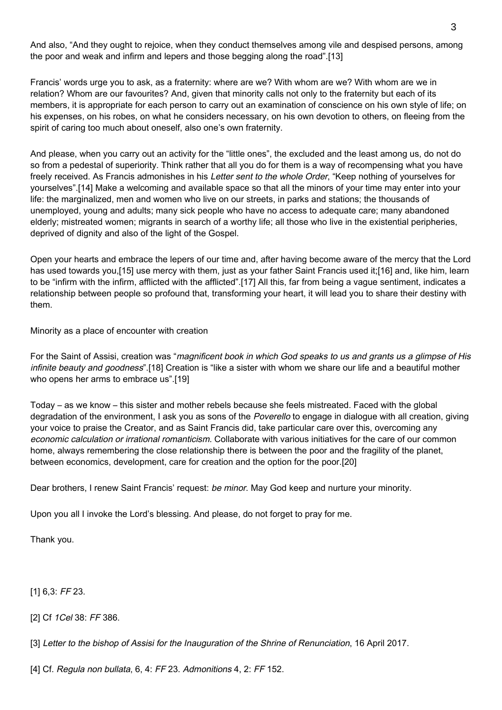And also, "And they ought to rejoice, when they conduct themselves among vile and despised persons, among the poor and weak and infirm and lepers and those begging along the road".[13]

Francis' words urge you to ask, as a fraternity: where are we? With whom are we? With whom are we in relation? Whom are our favourites? And, given that minority calls not only to the fraternity but each of its members, it is appropriate for each person to carry out an examination of conscience on his own style of life; on his expenses, on his robes, on what he considers necessary, on his own devotion to others, on fleeing from the spirit of caring too much about oneself, also one's own fraternity.

And please, when you carry out an activity for the "little ones", the excluded and the least among us, do not do so from a pedestal of superiority. Think rather that all you do for them is a way of recompensing what you have freely received. As Francis admonishes in his Letter sent to the whole Order, "Keep nothing of yourselves for yourselves".[14] Make a welcoming and available space so that all the minors of your time may enter into your life: the marginalized, men and women who live on our streets, in parks and stations; the thousands of unemployed, young and adults; many sick people who have no access to adequate care; many abandoned elderly; mistreated women; migrants in search of a worthy life; all those who live in the existential peripheries, deprived of dignity and also of the light of the Gospel.

Open your hearts and embrace the lepers of our time and, after having become aware of the mercy that the Lord has used towards you,[15] use mercy with them, just as your father Saint Francis used it;[16] and, like him, learn to be "infirm with the infirm, afflicted with the afflicted".[17] All this, far from being a vague sentiment, indicates a relationship between people so profound that, transforming your heart, it will lead you to share their destiny with them.

Minority as a place of encounter with creation

For the Saint of Assisi, creation was "magnificent book in which God speaks to us and grants us a glimpse of His infinite beauty and goodness".[18] Creation is "like a sister with whom we share our life and a beautiful mother who opens her arms to embrace us".[19]

Today – as we know – this sister and mother rebels because she feels mistreated. Faced with the global degradation of the environment, I ask you as sons of the Poverello to engage in dialogue with all creation, giving your voice to praise the Creator, and as Saint Francis did, take particular care over this, overcoming any economic calculation or irrational romanticism. Collaborate with various initiatives for the care of our common home, always remembering the close relationship there is between the poor and the fragility of the planet, between economics, development, care for creation and the option for the poor.[20]

Dear brothers, I renew Saint Francis' request: be minor. May God keep and nurture your minority.

Upon you all I invoke the Lord's blessing. And please, do not forget to pray for me.

Thank you.

 $[1] 6,3: FF 23.$ 

[2] Cf 1Cel 38: FF 386.

[3] Letter to the bishop of Assisi for the Inauguration of the Shrine of Renunciation, 16 April 2017.

[4] Cf. Regula non bullata, 6, 4: FF 23. Admonitions 4, 2: FF 152.